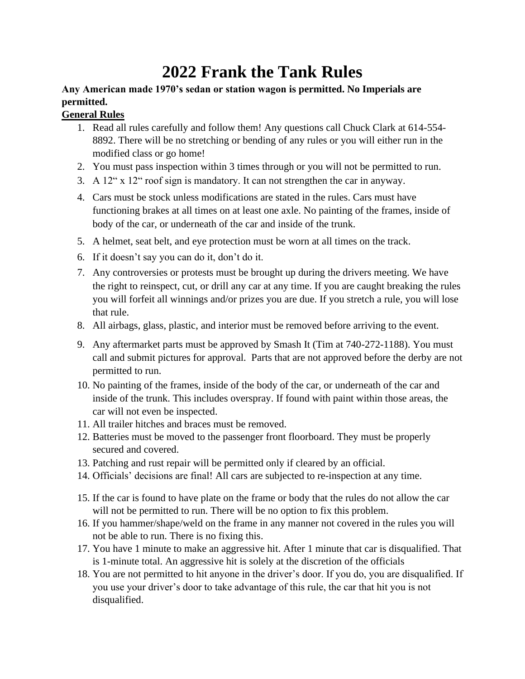## **2022 Frank the Tank Rules**

## **Any American made 1970's sedan or station wagon is permitted. No Imperials are permitted.**

## **General Rules**

- 1. Read all rules carefully and follow them! Any questions call Chuck Clark at 614-554- 8892. There will be no stretching or bending of any rules or you will either run in the modified class or go home!
- 2. You must pass inspection within 3 times through or you will not be permitted to run.
- 3. A 12" x 12" roof sign is mandatory. It can not strengthen the car in anyway.
- 4. Cars must be stock unless modifications are stated in the rules. Cars must have functioning brakes at all times on at least one axle. No painting of the frames, inside of body of the car, or underneath of the car and inside of the trunk.
- 5. A helmet, seat belt, and eye protection must be worn at all times on the track.
- 6. If it doesn't say you can do it, don't do it.
- 7. Any controversies or protests must be brought up during the drivers meeting. We have the right to reinspect, cut, or drill any car at any time. If you are caught breaking the rules you will forfeit all winnings and/or prizes you are due. If you stretch a rule, you will lose that rule.
- 8. All airbags, glass, plastic, and interior must be removed before arriving to the event.
- 9. Any aftermarket parts must be approved by Smash It (Tim at 740-272-1188). You must call and submit pictures for approval. Parts that are not approved before the derby are not permitted to run.
- 10. No painting of the frames, inside of the body of the car, or underneath of the car and inside of the trunk. This includes overspray. If found with paint within those areas, the car will not even be inspected.
- 11. All trailer hitches and braces must be removed.
- 12. Batteries must be moved to the passenger front floorboard. They must be properly secured and covered.
- 13. Patching and rust repair will be permitted only if cleared by an official.
- 14. Officials' decisions are final! All cars are subjected to re-inspection at any time.
- 15. If the car is found to have plate on the frame or body that the rules do not allow the car will not be permitted to run. There will be no option to fix this problem.
- 16. If you hammer/shape/weld on the frame in any manner not covered in the rules you will not be able to run. There is no fixing this.
- 17. You have 1 minute to make an aggressive hit. After 1 minute that car is disqualified. That is 1-minute total. An aggressive hit is solely at the discretion of the officials
- 18. You are not permitted to hit anyone in the driver's door. If you do, you are disqualified. If you use your driver's door to take advantage of this rule, the car that hit you is not disqualified.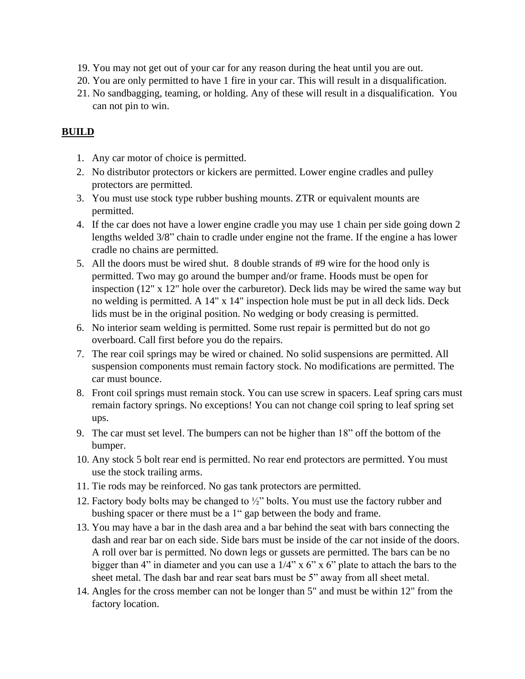- 19. You may not get out of your car for any reason during the heat until you are out.
- 20. You are only permitted to have 1 fire in your car. This will result in a disqualification.
- 21. No sandbagging, teaming, or holding. Any of these will result in a disqualification. You can not pin to win.

## **BUILD**

- 1. Any car motor of choice is permitted.
- 2. No distributor protectors or kickers are permitted. Lower engine cradles and pulley protectors are permitted.
- 3. You must use stock type rubber bushing mounts. ZTR or equivalent mounts are permitted.
- 4. If the car does not have a lower engine cradle you may use 1 chain per side going down 2 lengths welded 3/8" chain to cradle under engine not the frame. If the engine a has lower cradle no chains are permitted.
- 5. All the doors must be wired shut. 8 double strands of #9 wire for the hood only is permitted. Two may go around the bumper and/or frame. Hoods must be open for inspection (12" x 12" hole over the carburetor). Deck lids may be wired the same way but no welding is permitted. A 14" x 14" inspection hole must be put in all deck lids. Deck lids must be in the original position. No wedging or body creasing is permitted.
- 6. No interior seam welding is permitted. Some rust repair is permitted but do not go overboard. Call first before you do the repairs.
- 7. The rear coil springs may be wired or chained. No solid suspensions are permitted. All suspension components must remain factory stock. No modifications are permitted. The car must bounce.
- 8. Front coil springs must remain stock. You can use screw in spacers. Leaf spring cars must remain factory springs. No exceptions! You can not change coil spring to leaf spring set ups.
- 9. The car must set level. The bumpers can not be higher than 18" off the bottom of the bumper.
- 10. Any stock 5 bolt rear end is permitted. No rear end protectors are permitted. You must use the stock trailing arms.
- 11. Tie rods may be reinforced. No gas tank protectors are permitted.
- 12. Factory body bolts may be changed to ½" bolts. You must use the factory rubber and bushing spacer or there must be a 1" gap between the body and frame.
- 13. You may have a bar in the dash area and a bar behind the seat with bars connecting the dash and rear bar on each side. Side bars must be inside of the car not inside of the doors. A roll over bar is permitted. No down legs or gussets are permitted. The bars can be no bigger than 4" in diameter and you can use a  $1/4$ " x 6" x 6" plate to attach the bars to the sheet metal. The dash bar and rear seat bars must be 5" away from all sheet metal.
- 14. Angles for the cross member can not be longer than 5" and must be within 12" from the factory location.